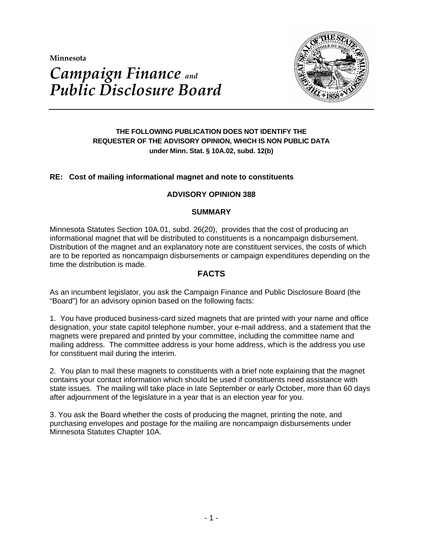**Minnesota** 

# *Campaign Finance and Public Disclosure Board*



# **THE FOLLOWING PUBLICATION DOES NOT IDENTIFY THE REQUESTER OF THE ADVISORY OPINION, WHICH IS NON PUBLIC DATA under Minn. Stat. § 10A.02, subd. 12(b)**

# **RE: Cost of mailing informational magnet and note to constituents**

## **ADVISORY OPINION 388**

### **SUMMARY**

Minnesota Statutes Section 10A.01, subd. 26(20), provides that the cost of producing an informational magnet that will be distributed to constituents is a noncampaign disbursement. Distribution of the magnet and an explanatory note are constituent services, the costs of which are to be reported as noncampaign disbursements or campaign expenditures depending on the time the distribution is made.

## **FACTS**

As an incumbent legislator, you ask the Campaign Finance and Public Disclosure Board (the "Board") for an advisory opinion based on the following facts:

1. You have produced business-card sized magnets that are printed with your name and office designation, your state capitol telephone number, your e-mail address, and a statement that the magnets were prepared and printed by your committee, including the committee name and mailing address. The committee address is your home address, which is the address you use for constituent mail during the interim.

2. You plan to mail these magnets to constituents with a brief note explaining that the magnet contains your contact information which should be used if constituents need assistance with state issues. The mailing will take place in late September or early October, more than 60 days after adjournment of the legislature in a year that is an election year for you.

3. You ask the Board whether the costs of producing the magnet, printing the note, and purchasing envelopes and postage for the mailing are noncampaign disbursements under Minnesota Statutes Chapter 10A.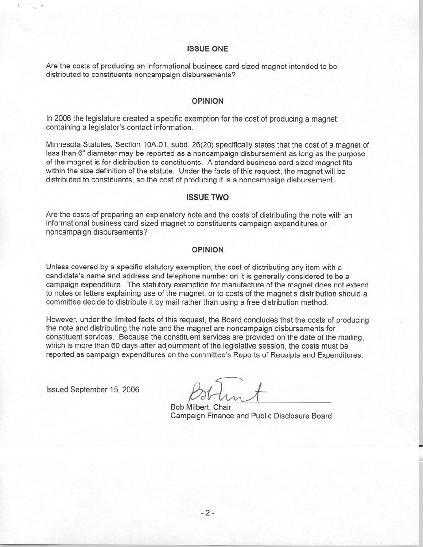#### **ISSUE ONE**

Are the costs of producing an informational business card sized magnet intended to be distributed to constituents noncampaign disbursements?

#### **OPINION**

In 2006 the legislature created a specific exemption for the cost of producing a magnet containing a legislator's contact information.

Minnesota Statutes, Section 10A.01, subd. 26(20) specifically states that the cost of a magnet of less than 6" diameter may be reported as a noncampaign disbursement as long as the purpose of the magnet is for distribution to constituents. A standard business card sized magnet fits within the size definition of the statute. Under the facts of this request, the magnet will be distributed to constituents, so the cost of producing it is a noncampaign disbursement.

#### **ISSUE TWO**

Are the costs of preparing an explanatory note and the costs of distributing the note with an informational business card sized magnet to constituents campaign expenditures or noncampaign disbursements?

#### **OPINION**

Unless covered by a specific statutory exemption, the cost of distributing any item with a candidate's name and address and telephone number on it is generally considered to be a campaign expenditure. The statutory exemption for manufacture of the magnet does not extend to notes or letters explaining use of the magnet, or to costs of the magnet's distribution should a committee decide to distribute it by mail rather than using a free distribution method.

However, under the limited facts of this request, the Board concludes that the costs of producing the note and distributing the note and the magnet are noncampaign disbursements for constituent services. Because the constituent services are provided on the date of the mailing, which is more than 60 days after adjournment of the legislative session, the costs must be reported as campaign expenditures on the committee's Reports of Receipts and Expenditures.

Issued September 15, 2006

Bob Milbert, Chair Campaign Finance and Public Disclosure Board